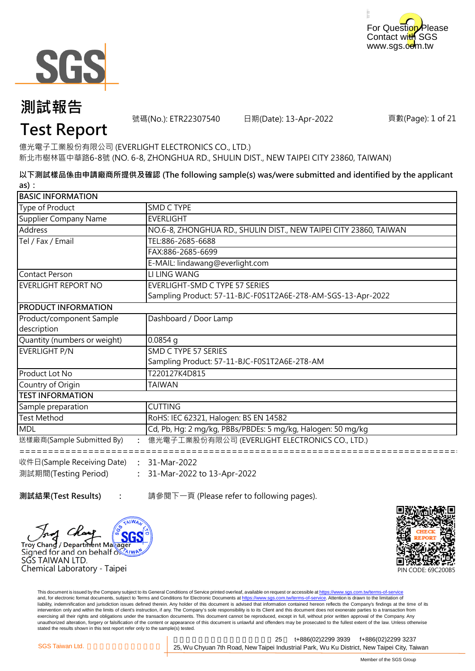



號碼(No.): ETR22307540 日期(Date): 13-Apr-2022

頁數(Page): 1 of 21

### **Test Report**

億光電子工業股份有限公司 (EVERLIGHT ELECTRONICS CO., LTD.) 新北市樹林區中華路6-8號 (NO. 6-8, ZHONGHUA RD., SHULIN DIST., NEW TAIPEI CITY 23860, TAIWAN)

**以下測試樣品係由申請廠商所提供及確認 (The following sample(s) was/were submitted and identified by the applicant as):**

| <b>BASIC INFORMATION</b>     |                                                                   |
|------------------------------|-------------------------------------------------------------------|
| Type of Product              | <b>SMD C TYPE</b>                                                 |
| Supplier Company Name        | <b>EVERLIGHT</b>                                                  |
| <b>Address</b>               | NO.6-8, ZHONGHUA RD., SHULIN DIST., NEW TAIPEI CITY 23860, TAIWAN |
| Tel / Fax / Email            | TEL:886-2685-6688                                                 |
|                              | FAX:886-2685-6699                                                 |
|                              | E-MAIL: lindawang@everlight.com                                   |
| <b>Contact Person</b>        | LI LING WANG                                                      |
| EVERLIGHT REPORT NO          | EVERLIGHT-SMD C TYPE 57 SERIES                                    |
|                              | Sampling Product: 57-11-BJC-F0S1T2A6E-2T8-AM-SGS-13-Apr-2022      |
| <b>PRODUCT INFORMATION</b>   |                                                                   |
| Product/component Sample     | Dashboard / Door Lamp                                             |
| description                  |                                                                   |
| Quantity (numbers or weight) | $0.0854$ q                                                        |
| EVERLIGHT P/N                | SMD C TYPE 57 SERIES                                              |
|                              | Sampling Product: 57-11-BJC-F0S1T2A6E-2T8-AM                      |
| Product Lot No               | T220127K4D815                                                     |
| Country of Origin            | <b>TAIWAN</b>                                                     |
| <b>TEST INFORMATION</b>      |                                                                   |
| Sample preparation           | <b>CUTTING</b>                                                    |
| <b>Test Method</b>           | RoHS: IEC 62321, Halogen: BS EN 14582                             |
| <b>MDL</b>                   | Cd, Pb, Hg: 2 mg/kg, PBBs/PBDEs: 5 mg/kg, Halogen: 50 mg/kg       |
| 送樣廠商(Sample Submitted By)    | 億光電子工業股份有限公司 (EVERLIGHT ELECTRONICS CO., LTD.)                    |

**:** 31-Mar-2022 to 13-Apr-2022

測試期間(Testing Period)

**測試結果(Test Results) : The oral 請參閱下一頁 (Please refer to following pages).** 



**:**



This document is issued by the Company subject to its General Conditions of Service printed overleaf, available on request or accessible at https://www.sgs.com.tw/terms-of-service and, for electronic format documents, subject to Terms and Conditions for Electronic Documents at https://www.sgs.com.tw/terms-of-service. Attention is drawn to the limitation of liability, indemnification and jurisdiction issues defined therein. Any holder of this document is advised that information contained hereon reflects the Company's findings at the time of its intervention only and within the limits of client's instruction, if any. The Company's sole responsibility is to its Client and this document does not exonerate parties to a transaction from exercising all their rights and obligations under the transaction documents. This document cannot be reproduced, except in full, without prior written approval of the Company. Any<br>unauthorized alteration, forgery or falsif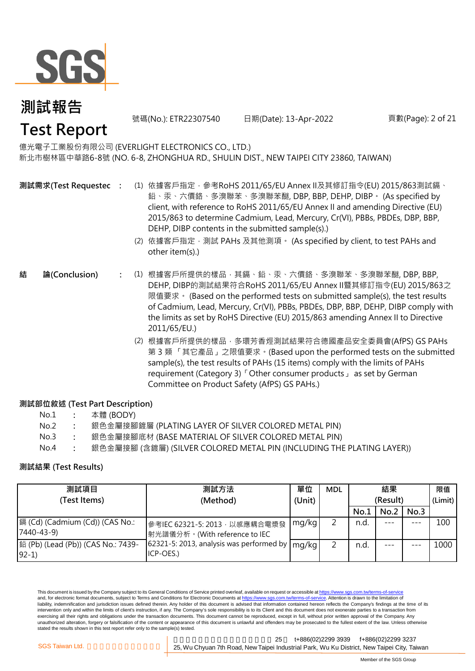

### **測試報告 Test Report**

號碼(No.): ETR22307540 日期(Date): 13-Apr-2022

頁數(Page): 2 of 21

#### 億光電子工業股份有限公司 (EVERLIGHT ELECTRONICS CO., LTD.) 新北市樹林區中華路6-8號 (NO. 6-8, ZHONGHUA RD., SHULIN DIST., NEW TAIPEI CITY 23860, TAIWAN)

- **測試需求(Test Requested)**
	- **:** (1) 依據客戶指定,參考RoHS 2011/65/EU Annex II及其修訂指令(EU) 2015/863測試鎘、 鉛、汞、六價鉻、多溴聯苯、多溴聯苯醚, DBP, BBP, DEHP, DIBP。 (As specified by client, with reference to RoHS 2011/65/EU Annex II and amending Directive (EU) 2015/863 to determine Cadmium, Lead, Mercury, Cr(VI), PBBs, PBDEs, DBP, BBP, DEHP, DIBP contents in the submitted sample(s).)
		- (2) 依據客戶指定,測試 PAHs 及其他測項。 (As specified by client, to test PAHs and other item(s).)
- **:** (1) 根據客戶所提供的樣品,其鎘、鉛、汞、六價鉻、多溴聯苯、多溴聯苯醚, DBP, BBP, DEHP, DIBP的測試結果符合RoHS 2011/65/EU Annex II暨其修訂指令(EU) 2015/863之 限值要求。 (Based on the performed tests on submitted sample(s), the test results of Cadmium, Lead, Mercury, Cr(VI), PBBs, PBDEs, DBP, BBP, DEHP, DIBP comply with the limits as set by RoHS Directive (EU) 2015/863 amending Annex II to Directive 2011/65/EU.) **結 論(Conclusion)**
	- (2) 根據客戶所提供的樣品,多環芳香烴測試結果符合德國產品安全委員會(AfPS) GS PAHs 第 3 類 「其它產品」之限值要求。(Based upon the performed tests on the submitted sample(s), the test results of PAHs (15 items) comply with the limits of PAHs requirement (Category 3)「Other consumer products」 as set by German Committee on Product Safety (AfPS) GS PAHs.)

#### **測試部位敘述 (Test Part Description)**

| No.1 | 本體 (BODY) |
|------|-----------|
|------|-----------|

- No.2 **:** 銀色金屬接腳鍍層 (PLATING LAYER OF SILVER COLORED METAL PIN)
- No.3 **:** 銀色金屬接腳底材 (BASE MATERIAL OF SILVER COLORED METAL PIN)
- No.4 **:** 銀色金屬接腳 (含鍍層) (SILVER COLORED METAL PIN (INCLUDING THE PLATING LAYER))

#### **測試結果 (Test Results)**

| 測試項目                                          | 測試方法                                                            | 單位     | <b>MDL</b> |          | 結果   |      | 限值      |
|-----------------------------------------------|-----------------------------------------------------------------|--------|------------|----------|------|------|---------|
| (Test Items)                                  | (Method)                                                        | (Unit) |            | (Result) |      |      | (Limit) |
|                                               |                                                                 |        |            | No.1     | No.2 | No.3 |         |
| 7440-43-9)                                    | 參考IEC 62321-5: 2013, 以感應耦合電漿發<br> 射光譜儀分析。(With reference to IEC | mg/kg  |            | n.d      |      | ---  | 100     |
| 鉛 (Pb) (Lead (Pb)) (CAS No.: 7439-<br>$92-1)$ | 62321-5: 2013, analysis was performed by<br>ICP-OES.)           | mg/kg  |            | n.d.     |      |      | 1000    |

This document is issued by the Company subject to its General Conditions of Service printed overleaf, available on request or accessible at https://www.sgs.com.tw/terms-of-service and, for electronic format documents, subject to Terms and Conditions for Electronic Documents at https://www.sgs.com.tw/terms-of-service. Attention is drawn to the limitation of liability, indemnification and jurisdiction issues defined therein. Any holder of this document is advised that information contained hereon reflects the Company's findings at the time of its intervention only and within the limits of client's instruction, if any. The Company's sole responsibility is to its Client and this document does not exonerate parties to a transaction from exercising all their rights and obligations under the transaction documents. This document cannot be reproduced, except in full, without prior written approval of the Company. Any unauthorized alteration, forgery or falsification of the content or appearance of this document is unlawful and offenders may be prosecuted to the fullest extent of the law. Unless otherwise stated the results shown in this test report refer only to the sample(s) tested.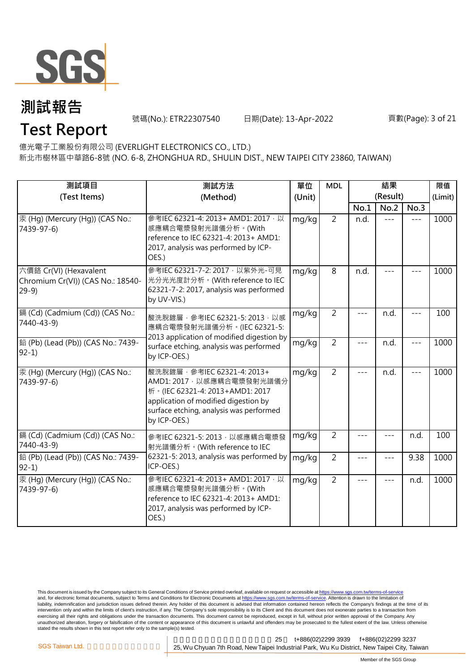

號碼(No.): ETR22307540 日期(Date): 13-Apr-2022

#### 頁數(Page): 3 of 21

**Test Report**

億光電子工業股份有限公司 (EVERLIGHT ELECTRONICS CO., LTD.)

新北市樹林區中華路6-8號 (NO. 6-8, ZHONGHUA RD., SHULIN DIST., NEW TAIPEI CITY 23860, TAIWAN)

| 測試項目<br>(Test Items)                                                  | 測試方法<br>(Method)                                                                                                                                                                                | 單位<br>(Unit) | <b>MDL</b>     |               | 結果<br>(Result) |         | 限值<br>(Limit) |
|-----------------------------------------------------------------------|-------------------------------------------------------------------------------------------------------------------------------------------------------------------------------------------------|--------------|----------------|---------------|----------------|---------|---------------|
|                                                                       |                                                                                                                                                                                                 |              |                | No.1          | No.2           | No.3    |               |
| 汞 (Hg) (Mercury (Hg)) (CAS No.:<br>7439-97-6)                         | 參考IEC 62321-4: 2013+ AMD1: 2017, 以<br>感應耦合電漿發射光譜儀分析。(With<br>reference to IEC 62321-4: 2013+ AMD1:<br>2017, analysis was performed by ICP-<br>OES.)                                             | mg/kg        | $\overline{2}$ | n.d.          | $---$          | $---$   | 1000          |
| 六價鉻 Cr(VI) (Hexavalent<br>Chromium Cr(VI)) (CAS No.: 18540-<br>$29-9$ | 參考IEC 62321-7-2: 2017 · 以紫外光-可見<br>光分光光度計分析。(With reference to IEC<br>62321-7-2: 2017, analysis was performed<br>by UV-VIS.)                                                                    | mg/kg        | 8              | n.d.          |                |         | 1000          |
| [鎘 (Cd) (Cadmium (Cd)) (CAS No.:<br>7440-43-9)                        | 酸洗脫鍍層, 參考IEC 62321-5: 2013, 以感<br>應耦合電漿發射光譜儀分析。(IEC 62321-5:                                                                                                                                    | mg/kg        | $\overline{2}$ |               | n.d.           | $- - -$ | 100           |
| 鉛 (Pb) (Lead (Pb)) (CAS No.: 7439-<br>$92-1)$                         | 2013 application of modified digestion by<br>surface etching, analysis was performed<br>by ICP-OES.)                                                                                            | mg/kg        | $\overline{2}$ | $---$         | n.d.           | $---$   | 1000          |
| 汞 (Hg) (Mercury (Hg)) (CAS No.:<br>7439-97-6)                         | 酸洗脫鍍層, 參考IEC 62321-4: 2013+<br>AMD1: 2017 · 以感應耦合電漿發射光譜儀分<br>析。(IEC 62321-4: 2013+AMD1: 2017<br>application of modified digestion by<br>surface etching, analysis was performed<br>by ICP-OES.) | mg/kg        | $\overline{2}$ | $---$         | n.d.           | $---$   | 1000          |
| 鎘 (Cd) (Cadmium (Cd)) (CAS No.:<br>7440-43-9)                         | 參考IEC 62321-5: 2013, 以感應耦合電漿發<br>射光譜儀分析。(With reference to IEC                                                                                                                                  | mg/kg        | $\overline{2}$ | ---           | ---            | n.d.    | 100           |
| 鉛 (Pb) (Lead (Pb)) (CAS No.: 7439-<br>$92-1$                          | 62321-5: 2013, analysis was performed by<br>ICP-OES.)                                                                                                                                           | mg/kg        | $\overline{2}$ | ---           | $---$          | 9.38    | 1000          |
| 汞 (Hq) (Mercury (Hq)) (CAS No.:<br>7439-97-6)                         | 參考IEC 62321-4: 2013+ AMD1: 2017 · 以<br>感應耦合電漿發射光譜儀分析。(With<br>reference to IEC 62321-4: 2013+ AMD1:<br>2017, analysis was performed by ICP-<br>OES.)                                            | mg/kg        | $\overline{2}$ | $\frac{1}{2}$ | $- - -$        | n.d.    | 1000          |

This document is issued by the Company subject to its General Conditions of Service printed overleaf, available on request or accessible at <u>https://www.sgs.com.tw/terms-of-service</u><br>and, for electronic format documents, su liability, indemnification and jurisdiction issues defined therein. Any holder of this document is advised that information contained hereon reflects the Company's findings at the time of its intervention only and within the limits of client's instruction, if any. The Company's sole responsibility is to its Client and this document does not exonerate parties to a transaction from exercising all their rights and obligations under the transaction documents. This document cannot be reproduced, except in full, without prior written approval of the Company. Any<br>unauthorized alteration, forgery or falsif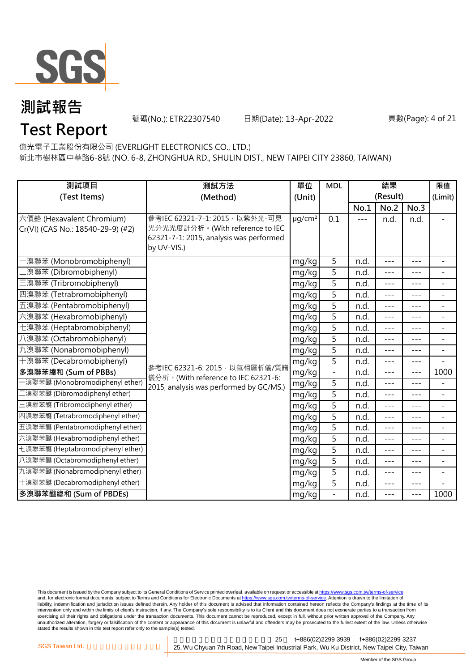

號碼(No.): ETR22307540 日期(Date): 13-Apr-2022

#### 頁數(Page): 4 of 21

### **Test Report**

億光電子工業股份有限公司 (EVERLIGHT ELECTRONICS CO., LTD.)

新北市樹林區中華路6-8號 (NO. 6-8, ZHONGHUA RD., SHULIN DIST., NEW TAIPEI CITY 23860, TAIWAN)

| 測試項目                                                           | 測試方法                                                                                                                         | 單位                      | <b>MDL</b>                   | 結果    |          |         | 限值                       |
|----------------------------------------------------------------|------------------------------------------------------------------------------------------------------------------------------|-------------------------|------------------------------|-------|----------|---------|--------------------------|
| (Test Items)                                                   | (Method)                                                                                                                     | (Unit)                  |                              |       | (Result) |         | (Limit)                  |
|                                                                |                                                                                                                              |                         |                              | No.1  | No.2     | No.3    |                          |
| 六價鉻 (Hexavalent Chromium)<br>Cr(VI) (CAS No.: 18540-29-9) (#2) | 參考IEC 62321-7-1: 2015 · 以紫外光-可見<br>光分光光度計分析。(With reference to IEC<br>62321-7-1: 2015, analysis was performed<br>by UV-VIS.) | $\mu$ g/cm <sup>2</sup> | 0.1                          | $---$ | n.d.     | n.d.    |                          |
| ·溴聯苯 (Monobromobiphenyl)                                       |                                                                                                                              | mg/kg                   | 5                            | n.d.  | $---$    | $---$   | $\overline{\phantom{a}}$ |
| [溴聯苯 (Dibromobiphenyl)                                         |                                                                                                                              | mg/kg                   | 5                            | n.d.  | $- - -$  | ---     | $\overline{\phantom{0}}$ |
| 三溴聯苯 (Tribromobiphenyl)                                        |                                                                                                                              | mg/kg                   | 5                            | n.d.  | $- - -$  | $- - -$ | $\overline{\phantom{a}}$ |
| 四溴聯苯 (Tetrabromobiphenyl)                                      |                                                                                                                              | mg/kg                   | 5                            | n.d.  | $- - -$  | $---$   | Ξ.                       |
| 五溴聯苯 (Pentabromobiphenyl)                                      |                                                                                                                              | mg/kg                   | 5                            | n.d.  | $---$    | ---     | $\overline{\phantom{0}}$ |
| 六溴聯苯 (Hexabromobiphenyl)                                       |                                                                                                                              | mg/kg                   | 5                            | n.d.  | $---$    | ---     | $\overline{\phantom{a}}$ |
| 七溴聯苯 (Heptabromobiphenyl)                                      |                                                                                                                              | mg/kg                   | 5                            | n.d.  | $---$    | $---$   | $\overline{a}$           |
| 八溴聯苯 (Octabromobiphenyl)                                       |                                                                                                                              | mg/kg                   | 5                            | n.d.  | $- - -$  | ---     | $\overline{\phantom{a}}$ |
| 九溴聯苯 (Nonabromobiphenyl)                                       |                                                                                                                              | mg/kg                   | 5                            | n.d.  | $- - -$  | $- - -$ | $\overline{\phantom{a}}$ |
| 十溴聯苯 (Decabromobiphenyl)                                       | 參考IEC 62321-6: 2015, 以氣相層析儀/質譜                                                                                               | mg/kg                   | 5                            | n.d.  | $---$    | $---$   | $\overline{a}$           |
| 多溴聯苯總和 (Sum of PBBs)                                           | 儀分析。(With reference to IEC 62321-6:                                                                                          | mg/kg                   | $\overline{\phantom{a}}$     | n.d.  | $---$    | $---$   | 1000                     |
| -溴聯苯醚 (Monobromodiphenyl ether)                                | 2015, analysis was performed by GC/MS.)                                                                                      | mg/kg                   | $\overline{5}$               | n.d.  | $---$    | ---     | $\overline{\phantom{0}}$ |
| 二溴聯苯醚 (Dibromodiphenyl ether)                                  |                                                                                                                              | mg/kg                   | 5                            | n.d.  | $---$    | ---     | $\overline{\phantom{a}}$ |
| 三溴聯苯醚 (Tribromodiphenyl ether)                                 |                                                                                                                              | mg/kg                   | 5                            | n.d.  | $---$    | ---     | $\overline{a}$           |
| 四溴聯苯醚 (Tetrabromodiphenyl ether)                               |                                                                                                                              | mg/kg                   | 5                            | n.d.  | $---$    | $---$   | $\overline{\phantom{a}}$ |
| 五溴聯苯醚 (Pentabromodiphenyl ether)                               |                                                                                                                              | mg/kg                   | 5                            | n.d.  | ---      | ---     | $\overline{a}$           |
| 六溴聯苯醚 (Hexabromodiphenyl ether)                                |                                                                                                                              | mg/kg                   | 5                            | n.d.  | $---$    | $---$   | $\overline{\phantom{0}}$ |
| 七溴聯苯醚 (Heptabromodiphenyl ether)                               |                                                                                                                              | mg/kg                   | 5                            | n.d.  | $---$    | ---     | $\qquad \qquad -$        |
| 八溴聯苯醚 (Octabromodiphenyl ether)                                |                                                                                                                              | mg/kg                   | $\overline{5}$               | n.d.  | $---$    | $---$   | $\overline{\phantom{a}}$ |
| 九溴聯苯醚 (Nonabromodiphenyl ether)                                |                                                                                                                              | mg/kg                   | 5                            | n.d.  | $---$    | $---$   | $\equiv$                 |
| 十溴聯苯醚 (Decabromodiphenyl ether)                                |                                                                                                                              | mg/kg                   | 5                            | n.d.  | ---      | ---     |                          |
| 多溴聯苯醚總和 (Sum of PBDEs)                                         |                                                                                                                              | mg/kg                   | $\qquad \qquad \blacksquare$ | n.d.  | $---$    | ---     | 1000                     |

This document is issued by the Company subject to its General Conditions of Service printed overleaf, available on request or accessible at <u>https://www.sgs.com.tw/terms-of-service</u><br>and, for electronic format documents, su liability, indemnification and jurisdiction issues defined therein. Any holder of this document is advised that information contained hereon reflects the Company's findings at the time of its intervention only and within the limits of client's instruction, if any. The Company's sole responsibility is to its Client and this document does not exonerate parties to a transaction from exercising all their rights and obligations under the transaction documents. This document cannot be reproduced, except in full, without prior written approval of the Company. Any<br>unauthorized alteration, forgery or falsif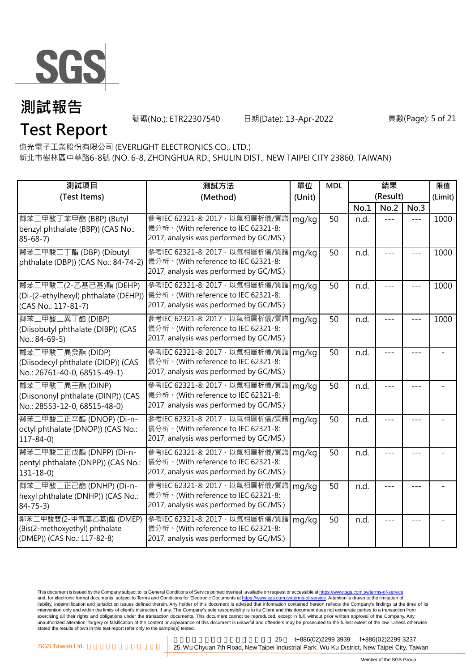

號碼(No.): ETR22307540 日期(Date): 13-Apr-2022

#### 頁數(Page): 5 of 21

**Test Report**

億光電子工業股份有限公司 (EVERLIGHT ELECTRONICS CO., LTD.)

新北市樹林區中華路6-8號 (NO. 6-8, ZHONGHUA RD., SHULIN DIST., NEW TAIPEI CITY 23860, TAIWAN)

| 測試項目                                                                                     | 測試方法                                                                                                              | 單位     | <b>MDL</b> |          | 結果   |      | 限值      |
|------------------------------------------------------------------------------------------|-------------------------------------------------------------------------------------------------------------------|--------|------------|----------|------|------|---------|
| (Test Items)                                                                             | (Method)                                                                                                          | (Unit) |            | (Result) |      |      | (Limit) |
|                                                                                          |                                                                                                                   |        |            | No.1     | No.2 | No.3 |         |
| 鄰苯二甲酸丁苯甲酯 (BBP) (Butyl<br>benzyl phthalate (BBP)) (CAS No.:<br>$85 - 68 - 7$             | 參考IEC 62321-8: 2017, 以氣相層析儀/質譜<br>儀分析。(With reference to IEC 62321-8:<br>2017, analysis was performed by GC/MS.)  | mg/kg  | 50         | n.d.     |      |      | 1000    |
| 鄰苯二甲酸二丁酯 (DBP) (Dibutyl<br>phthalate (DBP)) (CAS No.: 84-74-2)                           | 參考IEC 62321-8: 2017, 以氣相層析儀/質譜<br>儀分析。(With reference to IEC 62321-8:<br>2017, analysis was performed by GC/MS.)  | mg/kg  | 50         | n.d.     |      |      | 1000    |
| 鄰苯二甲酸二(2-乙基己基)酯 (DEHP)<br>(Di-(2-ethylhexyl) phthalate (DEHP))<br>(CAS No.: 117-81-7)    | 參考IEC 62321-8: 2017 · 以氣相層析儀/質譜<br>儀分析。(With reference to IEC 62321-8:<br>2017, analysis was performed by GC/MS.) | mg/kg  | 50         | n.d.     |      |      | 1000    |
| 鄰苯二甲酸二異丁酯 (DIBP)<br>(Diisobutyl phthalate (DIBP)) (CAS<br>No.: 84-69-5)                  | 參考IEC 62321-8: 2017, 以氣相層析儀/質譜<br>儀分析。(With reference to IEC 62321-8:<br>2017, analysis was performed by GC/MS.)  | mg/kg  | 50         | n.d.     |      |      | 1000    |
| 鄰苯二甲酸二異癸酯 (DIDP)<br>(Diisodecyl phthalate (DIDP)) (CAS<br>No.: 26761-40-0, 68515-49-1)   | 參考IEC 62321-8: 2017, 以氣相層析儀/質譜<br>儀分析。(With reference to IEC 62321-8:<br>2017, analysis was performed by GC/MS.)  | mg/kg  | 50         | n.d.     |      |      |         |
| 鄰苯二甲酸二異壬酯 (DINP)<br>(Diisononyl phthalate (DINP)) (CAS<br>No.: 28553-12-0, 68515-48-0)   | 參考IEC 62321-8: 2017, 以氣相層析儀/質譜<br>儀分析。(With reference to IEC 62321-8:<br>2017, analysis was performed by GC/MS.)  | mg/kg  | 50         | n.d.     |      |      |         |
| 鄰苯二甲酸二正辛酯 (DNOP) (Di-n-<br>octyl phthalate (DNOP)) (CAS No.:<br>$117 - 84 - 0$           | 參考IEC 62321-8: 2017, 以氣相層析儀/質譜<br>儀分析。(With reference to IEC 62321-8:<br>2017, analysis was performed by GC/MS.)  | mg/kg  | 50         | n.d.     |      |      |         |
| 鄰苯二甲酸二正戊酯 (DNPP) (Di-n-<br>pentyl phthalate (DNPP)) (CAS No.:<br>$131 - 18 - 0$          | 參考IEC 62321-8: 2017, 以氣相層析儀/質譜<br>儀分析。(With reference to IEC 62321-8:<br>2017, analysis was performed by GC/MS.)  | mg/kg  | 50         | n.d.     |      |      |         |
| 鄰苯二甲酸二正己酯 (DNHP) (Di-n-<br>hexyl phthalate (DNHP)) (CAS No.:<br>$84 - 75 - 3$            | 參考IEC 62321-8: 2017, 以氣相層析儀/質譜<br>儀分析。(With reference to IEC 62321-8:<br>2017, analysis was performed by GC/MS.)  | mg/kg  | 50         | n.d.     |      |      |         |
| 鄰苯二甲酸雙(2-甲氧基乙基)酯 (DMEP)<br>(Bis(2-methoxyethyl) phthalate<br>(DMEP)) (CAS No.: 117-82-8) | 參考IEC 62321-8: 2017, 以氣相層析儀/質譜<br>儀分析。(With reference to IEC 62321-8:<br>2017, analysis was performed by GC/MS.)  | mg/kg  | 50         | n.d.     |      |      |         |

This document is issued by the Company subject to its General Conditions of Service printed overleaf, available on request or accessible at <u>https://www.sgs.com.tw/terms-of-service</u><br>and, for electronic format documents, su liability, indemnification and jurisdiction issues defined therein. Any holder of this document is advised that information contained hereon reflects the Company's findings at the time of its intervention only and within the limits of client's instruction, if any. The Company's sole responsibility is to its Client and this document does not exonerate parties to a transaction from exercising all their rights and obligations under the transaction documents. This document cannot be reproduced, except in full, without prior written approval of the Company. Any<br>unauthorized alteration, forgery or falsif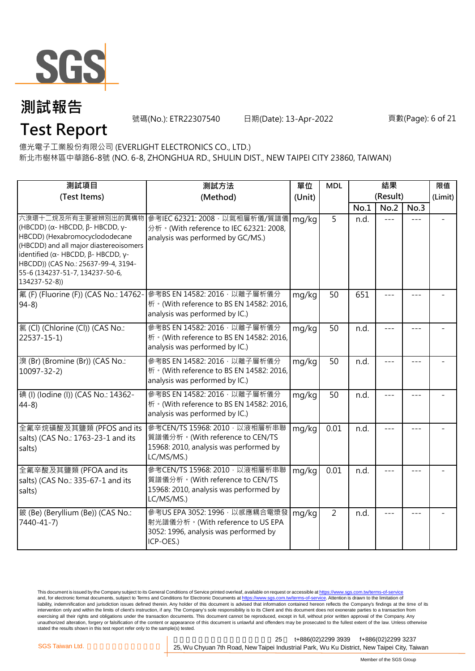

號碼(No.): ETR22307540 日期(Date): 13-Apr-2022

#### 頁數(Page): 6 of 21

**Test Report**

億光電子工業股份有限公司 (EVERLIGHT ELECTRONICS CO., LTD.)

新北市樹林區中華路6-8號 (NO. 6-8, ZHONGHUA RD., SHULIN DIST., NEW TAIPEI CITY 23860, TAIWAN)

| 測試項目                                                                                                                                                                                                                                                                                           | 測試方法                                                                                                                      | 單位     | <b>MDL</b>     | 結果   |          |         | 限值      |
|------------------------------------------------------------------------------------------------------------------------------------------------------------------------------------------------------------------------------------------------------------------------------------------------|---------------------------------------------------------------------------------------------------------------------------|--------|----------------|------|----------|---------|---------|
| (Test Items)                                                                                                                                                                                                                                                                                   | (Method)                                                                                                                  | (Unit) |                |      | (Result) |         | (Limit) |
|                                                                                                                                                                                                                                                                                                |                                                                                                                           |        |                | No.1 | No.2     | No.3    |         |
| 六溴環十二烷及所有主要被辨別出的異構物<br>(HBCDD) (α- HBCDD, $β$ - HBCDD, γ-<br>HBCDD) (Hexabromocyclododecane<br>(HBCDD) and all major diastereoisomers<br>identified ( $\alpha$ - HBCDD, $\beta$ - HBCDD, $\gamma$ -<br>HBCDD)) (CAS No.: 25637-99-4, 3194-<br>55-6 (134237-51-7, 134237-50-6,<br>134237-52-8)) | 參考IEC 62321: 2008, 以氣相層析儀/質譜儀<br>分析 · (With reference to IEC 62321: 2008,<br>analysis was performed by GC/MS.)            | mg/kg  | 5              | n.d. |          |         |         |
| 氟 (F) (Fluorine (F)) (CAS No.: 14762-<br>$94-8$                                                                                                                                                                                                                                                | 參考BS EN 14582: 2016, 以離子層析儀分<br>析 · (With reference to BS EN 14582: 2016,<br>analysis was performed by IC.)               | mg/kg  | 50             | 651  |          |         |         |
| 氯(Cl) (Chlorine (Cl)) (CAS No.:<br>22537-15-1)                                                                                                                                                                                                                                                 | 參考BS EN 14582: 2016 · 以離子層析儀分<br>析 · (With reference to BS EN 14582: 2016,<br>analysis was performed by IC.)              | mg/kg  | 50             | n.d. |          |         |         |
| 溴 (Br) (Bromine (Br)) (CAS No.:<br>$10097 - 32 - 2$                                                                                                                                                                                                                                            | 參考BS EN 14582: 2016 · 以離子層析儀分<br>析 · (With reference to BS EN 14582: 2016,<br>analysis was performed by IC.)              | mg/kg  | 50             | n.d. |          |         |         |
| 碘 (I) (Iodine (I)) (CAS No.: 14362-<br>$44-8$                                                                                                                                                                                                                                                  | 參考BS EN 14582: 2016 · 以離子層析儀分<br>桥 · (With reference to BS EN 14582: 2016,<br>analysis was performed by IC.)              | mg/kg  | 50             | n.d. |          |         |         |
| 全氟辛烷磺酸及其鹽類 (PFOS and its<br>salts) (CAS No.: 1763-23-1 and its<br>salts)                                                                                                                                                                                                                       | 参考CEN/TS 15968: 2010 · 以液相層析串聯<br>質譜儀分析。(With reference to CEN/TS<br>15968: 2010, analysis was performed by<br>LC/MS/MS.) | mg/kg  | 0.01           | n.d. | $= -$    | $- - -$ |         |
| 全氟辛酸及其鹽類 (PFOA and its<br>salts) (CAS No.: 335-67-1 and its<br>salts)                                                                                                                                                                                                                          | 參考CEN/TS 15968: 2010, 以液相層析串聯<br>質譜儀分析。(With reference to CEN/TS<br>15968: 2010, analysis was performed by<br>LC/MS/MS.)  | mg/kg  | 0.01           | n.d. |          |         |         |
| 鈹 (Be) (Beryllium (Be)) (CAS No.:<br>7440-41-7)                                                                                                                                                                                                                                                | 參考US EPA 3052: 1996, 以感應耦合電漿發<br>射光譜儀分析。(With reference to US EPA<br>3052: 1996, analysis was performed by<br>ICP-OES.)   | mg/kg  | $\overline{2}$ | n.d. |          |         |         |

This document is issued by the Company subject to its General Conditions of Service printed overleaf, available on request or accessible at <u>https://www.sgs.com.tw/terms-of-service</u><br>and, for electronic format documents, su liability, indemnification and jurisdiction issues defined therein. Any holder of this document is advised that information contained hereon reflects the Company's findings at the time of its intervention only and within the limits of client's instruction, if any. The Company's sole responsibility is to its Client and this document does not exonerate parties to a transaction from exercising all their rights and obligations under the transaction documents. This document cannot be reproduced, except in full, without prior written approval of the Company. Any<br>unauthorized alteration, forgery or falsif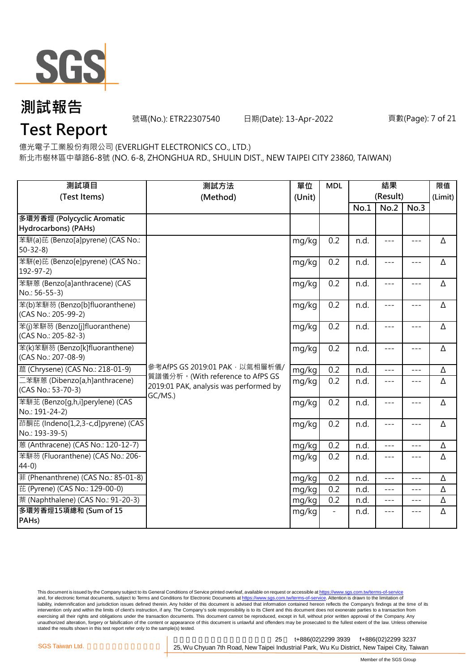

號碼(No.): ETR22307540 日期(Date): 13-Apr-2022

#### 頁數(Page): 7 of 21

### **Test Report**

億光電子工業股份有限公司 (EVERLIGHT ELECTRONICS CO., LTD.)

新北市樹林區中華路6-8號 (NO. 6-8, ZHONGHUA RD., SHULIN DIST., NEW TAIPEI CITY 23860, TAIWAN)

| 測試項目<br>(Test Items)                                  | 測試方法<br>(Method)                                                                      |       | 單位<br>(Unit) |      | <b>MDL</b>          | (Result)            | 限值<br>(Limit) |
|-------------------------------------------------------|---------------------------------------------------------------------------------------|-------|--------------|------|---------------------|---------------------|---------------|
|                                                       |                                                                                       |       |              | No.1 | No.2                | No.3                |               |
| 多環芳香烴 (Polycyclic Aromatic<br>Hydrocarbons) (PAHs)    |                                                                                       |       |              |      |                     |                     |               |
| 苯駢(a)芘 (Benzo[a]pyrene) (CAS No.:<br>$50 - 32 - 8$    |                                                                                       | mg/kg | 0.2          | n.d. | $\frac{1}{2}$       | $\frac{1}{2}$       | Δ             |
| 苯駢(e)芘 (Benzo[e]pyrene) (CAS No.:<br>$192 - 97 - 2$   |                                                                                       | mg/kg | 0.2          | n.d. | $---$               | $---$               | Δ             |
| 苯駢蒽 (Benzo[a]anthracene) (CAS<br>No.: 56-55-3)        |                                                                                       | mg/kg | 0.2          | n.d. | $---$               | $- - -$             | Δ             |
| 苯(b)苯駢芴 (Benzo[b]fluoranthene)<br>(CAS No.: 205-99-2) |                                                                                       | mg/kg | 0.2          | n.d. | $\qquad \qquad - -$ | $\qquad \qquad - -$ | Δ             |
| 苯(j)苯駢芴 (Benzo[j]fluoranthene)<br>(CAS No.: 205-82-3) |                                                                                       | mg/kg | 0.2          | n.d. | $---$               | $---$               | Δ             |
| 苯(k)苯駢芴 (Benzo[k]fluoranthene)<br>(CAS No.: 207-08-9) |                                                                                       | mg/kg | 0.2          | n.d. | $---$               | $---$               | Δ             |
| 蔰 (Chrysene) (CAS No.: 218-01-9)                      | 參考AfPS GS 2019:01 PAK · 以氣相層析儀/                                                       | mg/kg | 0.2          | n.d. | $- - -$             | $---$               | Δ             |
| 二苯駢蒽 (Dibenzo[a,h]anthracene)<br>(CAS No.: 53-70-3)   | 質譜儀分析。(With reference to AfPS GS<br>2019:01 PAK, analysis was performed by<br>GC/MS.) | mg/kg | 0.2          | n.d. | $\frac{1}{2}$       | $\frac{1}{2}$       | Δ             |
| 苯駢芷 (Benzo[q,h,i]perylene) (CAS<br>No.: 191-24-2)     |                                                                                       | mg/kg | 0.2          | n.d. | $- - -$             | $---$               | Δ             |
| 茚酮芘 (Indeno[1,2,3-c,d]pyrene) (CAS<br>No.: 193-39-5)  |                                                                                       | mg/kg | 0.2          | n.d. | $---$               | $\qquad \qquad - -$ | Δ             |
| 蒽 (Anthracene) (CAS No.: 120-12-7)                    |                                                                                       | mg/kg | 0.2          | n.d. | $ -$                | ---                 | Δ             |
| 苯駢芴 (Fluoranthene) (CAS No.: 206-<br>$44-0$           |                                                                                       | mg/kg | 0.2          | n.d. | $- - -$             | $---$               | Δ             |
| 菲 (Phenanthrene) (CAS No.: 85-01-8)                   |                                                                                       | mg/kg | 0.2          | n.d. | $---$               | $---$               | Δ             |
| 芘 (Pyrene) (CAS No.: 129-00-0)                        |                                                                                       | mg/kg | 0.2          | n.d. | $\frac{1}{2}$       | $\frac{1}{2}$       | Δ             |
| 萘 (Naphthalene) (CAS No.: 91-20-3)                    |                                                                                       | mg/kg | 0.2          | n.d. | $\frac{1}{2}$       | $---$               | Δ             |
| 多環芳香烴15項總和 (Sum of 15<br>PAH <sub>s</sub> )           |                                                                                       | mg/kg |              | n.d. | $---$               | $---$               | Δ             |

This document is issued by the Company subject to its General Conditions of Service printed overleaf, available on request or accessible at <u>https://www.sgs.com.tw/terms-of-service</u><br>and, for electronic format documents, su liability, indemnification and jurisdiction issues defined therein. Any holder of this document is advised that information contained hereon reflects the Company's findings at the time of its intervention only and within the limits of client's instruction, if any. The Company's sole responsibility is to its Client and this document does not exonerate parties to a transaction from exercising all their rights and obligations under the transaction documents. This document cannot be reproduced, except in full, without prior written approval of the Company. Any<br>unauthorized alteration, forgery or falsif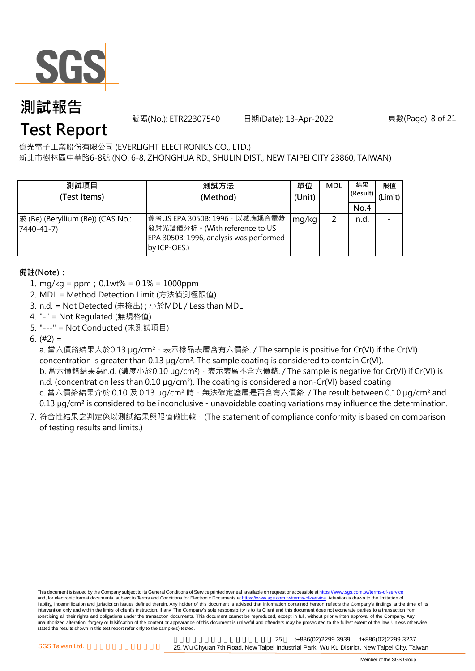

號碼(No.): ETR22307540 日期(Date): 13-Apr-2022

頁數(Page): 8 of 21

### **Test Report**

億光電子工業股份有限公司 (EVERLIGHT ELECTRONICS CO., LTD.)

新北市樹林區中華路6-8號 (NO. 6-8, ZHONGHUA RD., SHULIN DIST., NEW TAIPEI CITY 23860, TAIWAN)

| 測試項目<br>(Test Items)                            | 測試方法<br>(Method)                                                                                                           | 單位<br>(Unit) | <b>MDL</b> | 結果<br>(Result)<br>No.4 | 限值<br>(Limit) |
|-------------------------------------------------|----------------------------------------------------------------------------------------------------------------------------|--------------|------------|------------------------|---------------|
| 鈹 (Be) (Beryllium (Be)) (CAS No.:<br>7440-41-7) | 參考US EPA 3050B: 1996 · 以感應耦合電漿<br>發射光譜儀分析。(With reference to US<br>EPA 3050B: 1996, analysis was performed<br>by ICP-OES.) | mg/kg        |            | n.d.                   |               |

#### **備註(Note):**

- 1. mg/kg = ppm;0.1wt% = 0.1% = 1000ppm
- 2. MDL = Method Detection Limit (方法偵測極限值)
- 3. n.d. = Not Detected (未檢出) ; 小於MDL / Less than MDL
- 4. "-" = Not Regulated (無規格值)
- 5. "---" = Not Conducted (未測試項目)

6.  $(#2) =$ 

a. 當六價鉻結果大於0.13 µg/cm<sup>2,</sup> 表示樣品表層含有六價鉻. / The sample is positive for Cr(VI) if the Cr(VI) concentration is greater than 0.13 µg/cm². The sample coating is considered to contain Cr(VI).

b. 當六價鉻結果為n.d. (濃度小於0.10 μg/cm²),表示表層不含六價鉻. / The sample is negative for Cr(VI) if Cr(VI) is n.d. (concentration less than 0.10 µg/cm<sup>2</sup>). The coating is considered a non-Cr(VI) based coating

c. 當六價鉻結果介於 0.10 及 0.13 µg/cm<sup>2</sup> 時, 無法確定塗層是否含有六價鉻. / The result between 0.10 µg/cm<sup>2</sup> and 0.13 µg/cm<sup>2</sup> is considered to be inconclusive - unavoidable coating variations may influence the determination.

7. 符合性結果之判定係以測試結果與限值做比較。(The statement of compliance conformity is based on comparison of testing results and limits.)

This document is issued by the Company subject to its General Conditions of Service printed overleaf, available on request or accessible at https://www.sgs.com.tw/terms-of-service and, for electronic format documents, subject to Terms and Conditions for Electronic Documents at https://www.sgs.com.tw/terms-of-service. Attention is drawn to the limitation of liability, indemnification and jurisdiction issues defined therein. Any holder of this document is advised that information contained hereon reflects the Company's findings at the time of its intervention only and within the limits of client's instruction, if any. The Company's sole responsibility is to its Client and this document does not exonerate parties to a transaction from exercising all their rights and obligations under the transaction documents. This document cannot be reproduced, except in full, without prior written approval of the Company. Any<br>unauthorized alteration, forgery or falsif stated the results shown in this test report refer only to the sample(s) tested.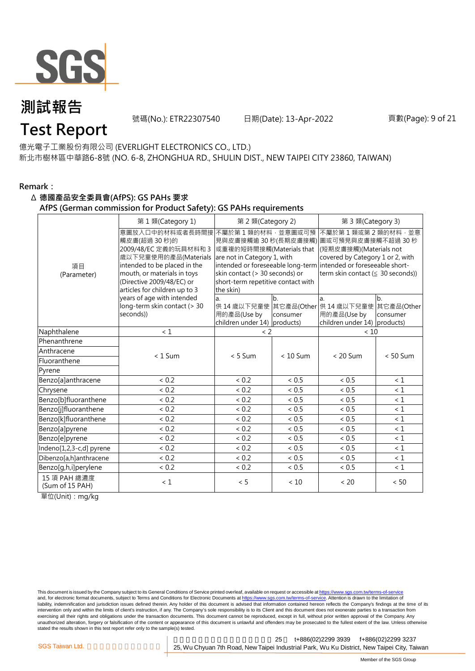

號碼(No.): ETR22307540 日期(Date): 13-Apr-2022

### **Test Report**

億光電子工業股份有限公司 (EVERLIGHT ELECTRONICS CO., LTD.) 新北市樹林區中華路6-8號 (NO. 6-8, ZHONGHUA RD., SHULIN DIST., NEW TAIPEI CITY 23860, TAIWAN)

#### **Remark:**

#### Δ **德國產品安全委員會(AfPS): GS PAHs 要求**

**AfPS (German commission for Product Safety): GS PAHs requirements**

|                                 | 第1類(Category 1)                                                                                                                                                                                                                             | 第 2 類(Category 2)                                                                                                                                                      | 第 3 類(Category 3) |                                                                                                                                                                                                                                                       |            |  |  |
|---------------------------------|---------------------------------------------------------------------------------------------------------------------------------------------------------------------------------------------------------------------------------------------|------------------------------------------------------------------------------------------------------------------------------------------------------------------------|-------------------|-------------------------------------------------------------------------------------------------------------------------------------------------------------------------------------------------------------------------------------------------------|------------|--|--|
| 項目<br>(Parameter)               | 意圖放入口中的材料或者長時間接<br>觸皮膚(超過 30秒)的<br>2009/48/EC 定義的玩具材料和 3<br>歲以下兒童使用的產品(Materials<br>intended to be placed in the<br>mouth, or materials in toys<br>(Directive 2009/48/EC) or<br>articles for children up to 3<br>years of age with intended | 不屬於第1類的材料,並意圖或可預<br>或重複的短時間接觸(Materials that<br>are not in Category 1, with<br>skin contact (> 30 seconds) or<br>short-term repetitive contact with<br>the skin)<br>a. | $b$               | 不屬於第1類或第2類的材料,並意<br>見與皮膚接觸逾 30 秒(長期皮膚接觸) 圖或可預見與皮膚接觸不超過 30 秒<br>(短期皮膚接觸)(Materials not<br>covered by Category 1 or 2, with<br>intended or foreseeable long-term intended or foreseeable short-<br>term skin contact ( $\leq$ 30 seconds))<br>b.<br>la. |            |  |  |
|                                 | long-term skin contact (> 30                                                                                                                                                                                                                | 供 14 歳以下兒童使 其它產品(Other 供 14 歳以下兒童使                                                                                                                                     |                   |                                                                                                                                                                                                                                                       | 其它產品(Other |  |  |
|                                 | seconds))                                                                                                                                                                                                                                   | 用的產品(Use by                                                                                                                                                            | consumer          | 用的產品(Use by                                                                                                                                                                                                                                           | consumer   |  |  |
|                                 |                                                                                                                                                                                                                                             | children under 14) products)                                                                                                                                           |                   | children under 14) products)                                                                                                                                                                                                                          |            |  |  |
| Naphthalene                     | < 1                                                                                                                                                                                                                                         | $\langle$ 2                                                                                                                                                            |                   | < 10                                                                                                                                                                                                                                                  |            |  |  |
| Phenanthrene                    |                                                                                                                                                                                                                                             |                                                                                                                                                                        |                   |                                                                                                                                                                                                                                                       |            |  |  |
| Anthracene                      | $< 1$ Sum                                                                                                                                                                                                                                   | $< 5$ Sum                                                                                                                                                              | $< 10$ Sum        | $< 20$ Sum                                                                                                                                                                                                                                            | $< 50$ Sum |  |  |
| Fluoranthene                    |                                                                                                                                                                                                                                             |                                                                                                                                                                        |                   |                                                                                                                                                                                                                                                       |            |  |  |
| Pyrene                          |                                                                                                                                                                                                                                             |                                                                                                                                                                        |                   |                                                                                                                                                                                                                                                       |            |  |  |
| Benzo[a]anthracene              | < 0.2                                                                                                                                                                                                                                       | < 0.2                                                                                                                                                                  | < 0.5             | < 0.5                                                                                                                                                                                                                                                 | < 1        |  |  |
| Chrysene                        | < 0.2                                                                                                                                                                                                                                       | < 0.2                                                                                                                                                                  | $< 0.5$           | < 0.5                                                                                                                                                                                                                                                 | $\leq 1$   |  |  |
| Benzo[b]fluoranthene            | < 0.2                                                                                                                                                                                                                                       | < 0.2                                                                                                                                                                  | ${}< 0.5$         | < 0.5                                                                                                                                                                                                                                                 | $\leq 1$   |  |  |
| Benzo[j]fluoranthene            | ${}< 0.2$                                                                                                                                                                                                                                   | ${}< 0.2$                                                                                                                                                              | $< 0.5$           | $< 0.5$                                                                                                                                                                                                                                               | $\leq 1$   |  |  |
| Benzo[k]fluoranthene            | < 0.2                                                                                                                                                                                                                                       | < 0.2                                                                                                                                                                  | < 0.5             | < 0.5                                                                                                                                                                                                                                                 | $\leq 1$   |  |  |
| Benzo[a]pyrene                  | < 0.2                                                                                                                                                                                                                                       | < 0.2                                                                                                                                                                  | < 0.5             | < 0.5                                                                                                                                                                                                                                                 | $\leq 1$   |  |  |
| Benzo[e]pyrene                  | < 0.2                                                                                                                                                                                                                                       | < 0.2                                                                                                                                                                  | ~< 0.5            | < 0.5                                                                                                                                                                                                                                                 | < 1        |  |  |
| Indeno[1,2,3-c,d] pyrene        | < 0.2                                                                                                                                                                                                                                       | < 0.2                                                                                                                                                                  | < 0.5             | < 0.5                                                                                                                                                                                                                                                 | $\leq 1$   |  |  |
| Dibenzo[a,h]anthracene          | < 0.2                                                                                                                                                                                                                                       | < 0.2                                                                                                                                                                  | < 0.5             | < 0.5                                                                                                                                                                                                                                                 | $\leq 1$   |  |  |
| Benzo[g,h,i]perylene            | < 0.2                                                                                                                                                                                                                                       | < 0.2                                                                                                                                                                  | ~< 0.5            | < 0.5                                                                                                                                                                                                                                                 | $\leq 1$   |  |  |
| 15 項 PAH 總濃度<br>(Sum of 15 PAH) | $\leq 1$                                                                                                                                                                                                                                    | < 5                                                                                                                                                                    | < 10              | < 20                                                                                                                                                                                                                                                  | < 50       |  |  |

單位(Unit):mg/kg

This document is issued by the Company subject to its General Conditions of Service printed overleaf, available on request or accessible at https://www.sgs.com.tw/terms-of-service and, for electronic format documents, subject to Terms and Conditions for Electronic Documents at https://www.sgs.com.tw/terms-of-service. Attention is drawn to the limitation of liability, indemnification and jurisdiction issues defined therein. Any holder of this document is advised that information contained hereon reflects the Company's findings at the time of its intervention only and within the limits of client's instruction, if any. The Company's sole responsibility is to its Client and this document does not exonerate parties to a transaction from exercising all their rights and obligations under the transaction documents. This document cannot be reproduced, except in full, without prior written approval of the Company. Any<br>unauthorized alteration, forgery or falsif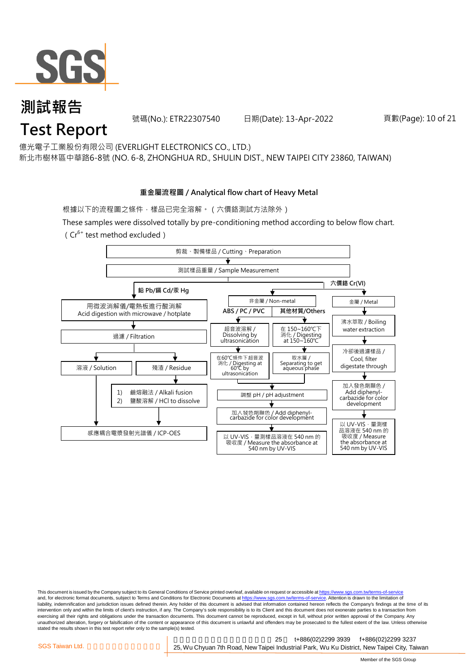

#### **測試報告 Test Report** 號碼(No.): ETR22307540 日期(Date): 13-Apr-2022

億光電子工業股份有限公司 (EVERLIGHT ELECTRONICS CO., LTD.) 新北市樹林區中華路6-8號 (NO. 6-8, ZHONGHUA RD., SHULIN DIST., NEW TAIPEI CITY 23860, TAIWAN)

#### **重金屬流程圖 / Analytical flow chart of Heavy Metal**

根據以下的流程圖之條件,樣品已完全溶解。(六價鉻測試方法除外)

These samples were dissolved totally by pre-conditioning method according to below flow chart.  $(Cr^{6+}$  test method excluded)



This document is issued by the Company subject to its General Conditions of Service printed overleaf, available on request or accessible at https://www.sgs.com.tw/terms-of-service and, for electronic format documents, subject to Terms and Conditions for Electronic Documents at https://www.sgs.com.tw/terms-of-service. Attention is drawn to the limitation of liability, indemnification and jurisdiction issues defined therein. Any holder of this document is advised that information contained hereon reflects the Company's findings at the time of its intervention only and within the limits of client's instruction, if any. The Company's sole responsibility is to its Client and this document does not exonerate parties to a transaction from exercising all their rights and obligations under the transaction documents. This document cannot be reproduced, except in full, without prior written approval of the Company. Any<br>unauthorized alteration, forgery or falsif stated the results shown in this test report refer only to the sample(s) tested.

新北市五股區新北產業園區五權七 25 t+886(02)2299 3939 f+886(02)2299 3237 SGS Taiwan Ltd. **Exercise 25, Wu Chyuan 7th Road, New Taipei Industrial Park, Wu Ku District, New Taipei City, Taiwan** 

頁數(Page): 10 of 21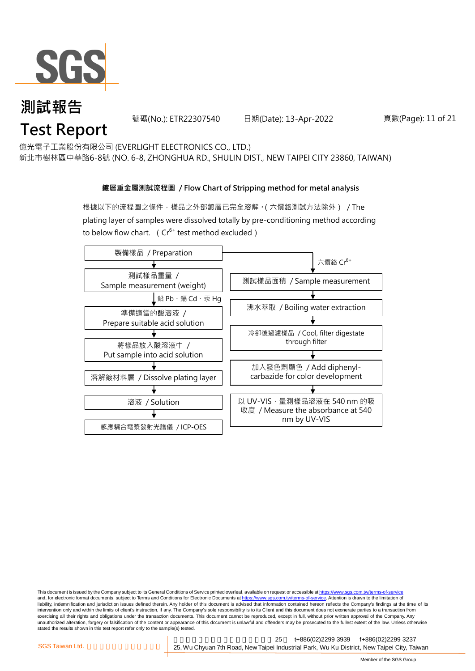

### **測試報告 Test Report**

號碼(No.): ETR22307540 日期(Date): 13-Apr-2022

頁數(Page): 11 of 21

億光電子工業股份有限公司 (EVERLIGHT ELECTRONICS CO., LTD.)

新北市樹林區中華路6-8號 (NO. 6-8, ZHONGHUA RD., SHULIN DIST., NEW TAIPEI CITY 23860, TAIWAN)

#### **鍍層重金屬測試流程圖 / Flow Chart of Stripping method for metal analysis**

根據以下的流程圖之條件,樣品之外部鍍層已完全溶解。(六價鉻測試方法除外) / The plating layer of samples were dissolved totally by pre-conditioning method according to below flow chart. ( $Cr^{6+}$  test method excluded)



This document is issued by the Company subject to its General Conditions of Service printed overleaf, available on request or accessible at https://www.sgs.com.tw/terms-of-service and, for electronic format documents, subject to Terms and Conditions for Electronic Documents at https://www.sgs.com.tw/terms-of-service. Attention is drawn to the limitation of liability, indemnification and jurisdiction issues defined therein. Any holder of this document is advised that information contained hereon reflects the Company's findings at the time of its intervention only and within the limits of client's instruction, if any. The Company's sole responsibility is to its Client and this document does not exonerate parties to a transaction from exercising all their rights and obligations under the transaction documents. This document cannot be reproduced, except in full, without prior written approval of the Company. Any<br>unauthorized alteration, forgery or falsif stated the results shown in this test report refer only to the sample(s) tested.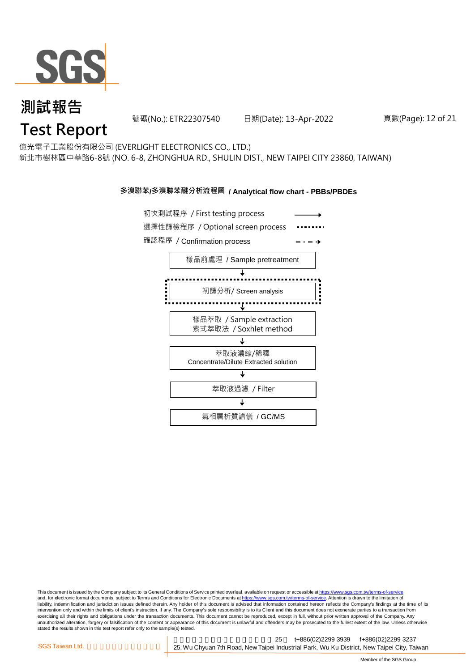

號碼(No.): ETR22307540 日期(Date): 13-Apr-2022

#### 頁數(Page): 12 of 21

### **Test Report**

億光電子工業股份有限公司 (EVERLIGHT ELECTRONICS CO., LTD.) 新北市樹林區中華路6-8號 (NO. 6-8, ZHONGHUA RD., SHULIN DIST., NEW TAIPEI CITY 23860, TAIWAN)

#### **多溴聯苯/多溴聯苯醚分析流程圖 / Analytical flow chart - PBBs/PBDEs**



This document is issued by the Company subject to its General Conditions of Service printed overleaf, available on request or accessible at https://www.sgs.com.tw/terms-of-service and, for electronic format documents, subject to Terms and Conditions for Electronic Documents at https://www.sgs.com.tw/terms-of-service. Attention is drawn to the limitation of liability, indemnification and jurisdiction issues defined therein. Any holder of this document is advised that information contained hereon reflects the Company's findings at the time of its intervention only and within the limits of client's instruction, if any. The Company's sole responsibility is to its Client and this document does not exonerate parties to a transaction from exercising all their rights and obligations under the transaction documents. This document cannot be reproduced, except in full, without prior written approval of the Company. Any<br>unauthorized alteration, forgery or falsif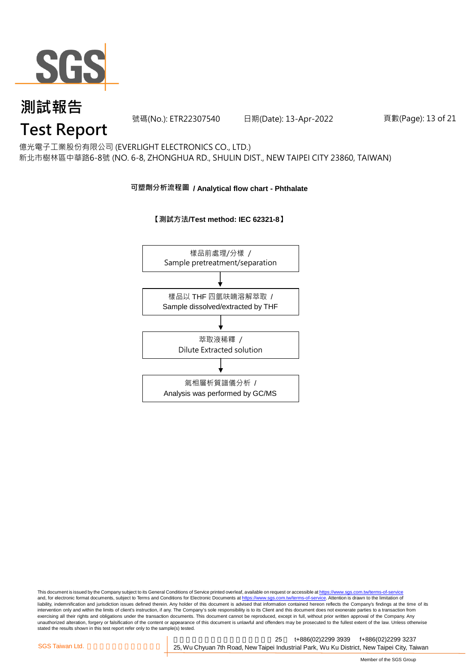

號碼(No.): ETR22307540 日期(Date): 13-Apr-2022

頁數(Page): 13 of 21

### **Test Report**

億光電子工業股份有限公司 (EVERLIGHT ELECTRONICS CO., LTD.) 新北市樹林區中華路6-8號 (NO. 6-8, ZHONGHUA RD., SHULIN DIST., NEW TAIPEI CITY 23860, TAIWAN)

#### **可塑劑分析流程圖 / Analytical flow chart - Phthalate**





This document is issued by the Company subject to its General Conditions of Service printed overleaf, available on request or accessible at <u>https://www.sgs.com.tw/terms-of-service</u><br>and, for electronic format documents, su liability, indemnification and jurisdiction issues defined therein. Any holder of this document is advised that information contained hereon reflects the Company's findings at the time of its intervention only and within the limits of client's instruction, if any. The Company's sole responsibility is to its Client and this document does not exonerate parties to a transaction from exercising all their rights and obligations under the transaction documents. This document cannot be reproduced, except in full, without prior written approval of the Company. Any<br>unauthorized alteration, forgery or falsif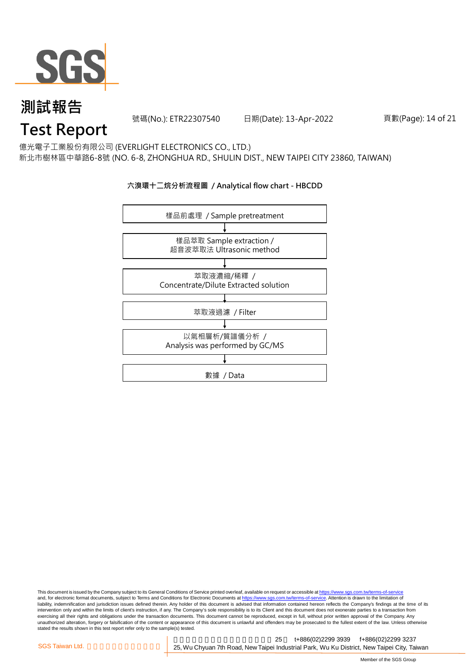

號碼(No.): ETR22307540 日期(Date): 13-Apr-2022

頁數(Page): 14 of 21

### **Test Report**

億光電子工業股份有限公司 (EVERLIGHT ELECTRONICS CO., LTD.) 新北市樹林區中華路6-8號 (NO. 6-8, ZHONGHUA RD., SHULIN DIST., NEW TAIPEI CITY 23860, TAIWAN)

#### **六溴環十二烷分析流程圖 / Analytical flow chart - HBCDD**



This document is issued by the Company subject to its General Conditions of Service printed overleaf, available on request or accessible at <u>https://www.sgs.com.tw/terms-of-service</u><br>and, for electronic format documents, su liability, indemnification and jurisdiction issues defined therein. Any holder of this document is advised that information contained hereon reflects the Company's findings at the time of its intervention only and within the limits of client's instruction, if any. The Company's sole responsibility is to its Client and this document does not exonerate parties to a transaction from exercising all their rights and obligations under the transaction documents. This document cannot be reproduced, except in full, without prior written approval of the Company. Any<br>unauthorized alteration, forgery or falsif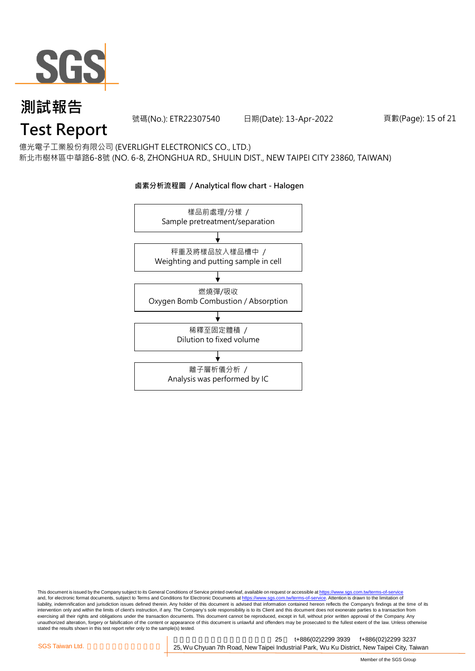

號碼(No.): ETR22307540 日期(Date): 13-Apr-2022

頁數(Page): 15 of 21

### **Test Report**

億光電子工業股份有限公司 (EVERLIGHT ELECTRONICS CO., LTD.) 新北市樹林區中華路6-8號 (NO. 6-8, ZHONGHUA RD., SHULIN DIST., NEW TAIPEI CITY 23860, TAIWAN)

### 樣品前處理/分樣 / Sample pretreatment/separation 秤重及將樣品放入樣品槽中 / Weighting and putting sample in cell 燃燒彈/吸收 Oxygen Bomb Combustion / Absorption 離子層析儀分析 / Analysis was performed by IC 稀釋至固定體積 / Dilution to fixed volume

**鹵素分析流程圖 / Analytical flow chart - Halogen**

This document is issued by the Company subject to its General Conditions of Service printed overleaf, available on request or accessible at <u>https://www.sgs.com.tw/terms-of-service</u><br>and, for electronic format documents, su liability, indemnification and jurisdiction issues defined therein. Any holder of this document is advised that information contained hereon reflects the Company's findings at the time of its intervention only and within the limits of client's instruction, if any. The Company's sole responsibility is to its Client and this document does not exonerate parties to a transaction from exercising all their rights and obligations under the transaction documents. This document cannot be reproduced, except in full, without prior written approval of the Company. Any<br>unauthorized alteration, forgery or falsif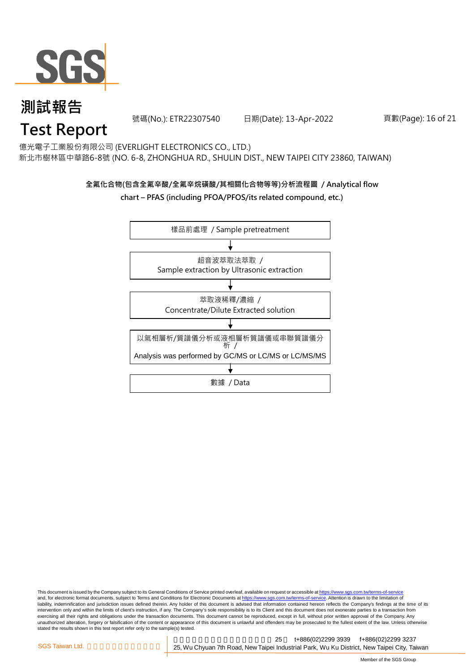

號碼(No.): ETR22307540 日期(Date): 13-Apr-2022

頁數(Page): 16 of 21

### **Test Report**

億光電子工業股份有限公司 (EVERLIGHT ELECTRONICS CO., LTD.) 新北市樹林區中華路6-8號 (NO. 6-8, ZHONGHUA RD., SHULIN DIST., NEW TAIPEI CITY 23860, TAIWAN)

#### **全氟化合物(包含全氟辛酸/全氟辛烷磺酸/其相關化合物等等)分析流程圖 / Analytical flow chart – PFAS (including PFOA/PFOS/its related compound, etc.)**



This document is issued by the Company subject to its General Conditions of Service printed overleaf, available on request or accessible at https://www.sgs.com.tw/terms-of-service and, for electronic format documents, subject to Terms and Conditions for Electronic Documents at https://www.sgs.com.tw/terms-of-service. Attention is drawn to the limitation of liability, indemnification and jurisdiction issues defined therein. Any holder of this document is advised that information contained hereon reflects the Company's findings at the time of its intervention only and within the limits of client's instruction, if any. The Company's sole responsibility is to its Client and this document does not exonerate parties to a transaction from exercising all their rights and obligations under the transaction documents. This document cannot be reproduced, except in full, without prior written approval of the Company. Any<br>unauthorized alteration, forgery or falsif stated the results shown in this test report refer only to the sample(s) tested.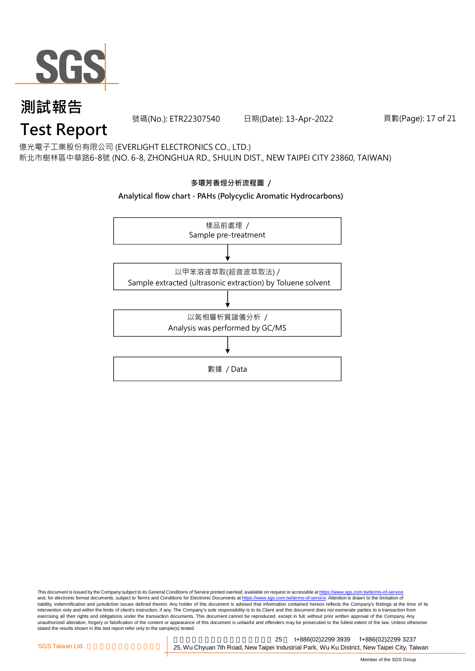

號碼(No.): ETR22307540 日期(Date): 13-Apr-2022

頁數(Page): 17 of 21

### **Test Report**

億光電子工業股份有限公司 (EVERLIGHT ELECTRONICS CO., LTD.) 新北市樹林區中華路6-8號 (NO. 6-8, ZHONGHUA RD., SHULIN DIST., NEW TAIPEI CITY 23860, TAIWAN)



This document is issued by the Company subject to its General Conditions of Service printed overleaf, available on request or accessible at <u>https://www.sgs.com.tw/terms-of-service</u><br>and, for electronic format documents, su liability, indemnification and jurisdiction issues defined therein. Any holder of this document is advised that information contained hereon reflects the Company's findings at the time of its intervention only and within the limits of client's instruction, if any. The Company's sole responsibility is to its Client and this document does not exonerate parties to a transaction from exercising all their rights and obligations under the transaction documents. This document cannot be reproduced, except in full, without prior written approval of the Company. Any<br>unauthorized alteration, forgery or falsif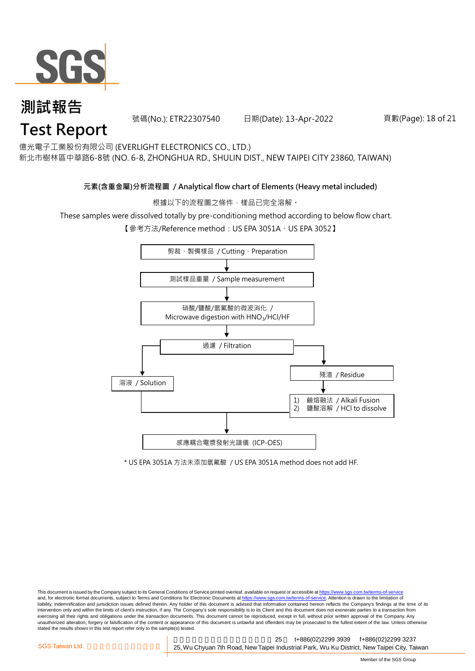

### **測試報告 Test Report**

號碼(No.): ETR22307540 日期(Date): 13-Apr-2022

#### 頁數(Page): 18 of 21

億光電子工業股份有限公司 (EVERLIGHT ELECTRONICS CO., LTD.)

新北市樹林區中華路6-8號 (NO. 6-8, ZHONGHUA RD., SHULIN DIST., NEW TAIPEI CITY 23860, TAIWAN)

#### **元素(含重金屬)分析流程圖 / Analytical flow chart of Elements (Heavy metal included)**

根據以下的流程圖之條件,樣品已完全溶解。

These samples were dissolved totally by pre-conditioning method according to below flow chart.

【參考方法/Reference method: US EPA 3051A、US EPA 3052】



\* US EPA 3051A 方法未添加氫氟酸 / US EPA 3051A method does not add HF.

This document is issued by the Company subject to its General Conditions of Service printed overleaf, available on request or accessible at https://www.sgs.com.tw/terms-of-service and, for electronic format documents, subject to Terms and Conditions for Electronic Documents at https://www.sgs.com.tw/terms-of-service. Attention is drawn to the limitation of liability, indemnification and jurisdiction issues defined therein. Any holder of this document is advised that information contained hereon reflects the Company's findings at the time of its intervention only and within the limits of client's instruction, if any. The Company's sole responsibility is to its Client and this document does not exonerate parties to a transaction from exercising all their rights and obligations under the transaction documents. This document cannot be reproduced, except in full, without prior written approval of the Company. Any<br>unauthorized alteration, forgery or falsif stated the results shown in this test report refer only to the sample(s) tested.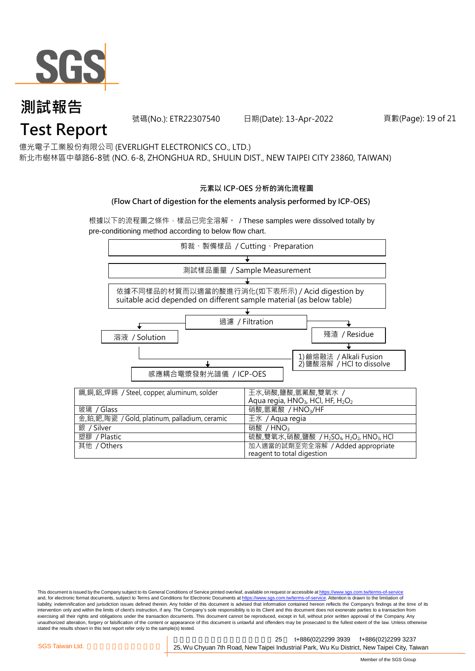

### **測試報告 Test Report**

號碼(No.): ETR22307540 日期(Date): 13-Apr-2022

#### 頁數(Page): 19 of 21

億光電子工業股份有限公司 (EVERLIGHT ELECTRONICS CO., LTD.)

新北市樹林區中華路6-8號 (NO. 6-8, ZHONGHUA RD., SHULIN DIST., NEW TAIPEI CITY 23860, TAIWAN)

#### **元素以 ICP-OES 分析的消化流程圖**

#### **(Flow Chart of digestion for the elements analysis performed by ICP-OES)**

根據以下的流程圖之條件,樣品已完全溶解。 / These samples were dissolved totally by pre-conditioning method according to below flow chart.



This document is issued by the Company subject to its General Conditions of Service printed overleaf, available on request or accessible at https://www.sgs.com.tw/terms-of-service and, for electronic format documents, subject to Terms and Conditions for Electronic Documents at https://www.sgs.com.tw/terms-of-service. Attention is drawn to the limitation of liability, indemnification and jurisdiction issues defined therein. Any holder of this document is advised that information contained hereon reflects the Company's findings at the time of its intervention only and within the limits of client's instruction, if any. The Company's sole responsibility is to its Client and this document does not exonerate parties to a transaction from exercising all their rights and obligations under the transaction documents. This document cannot be reproduced, except in full, without prior written approval of the Company. Any<br>unauthorized alteration, forgery or falsif stated the results shown in this test report refer only to the sample(s) tested.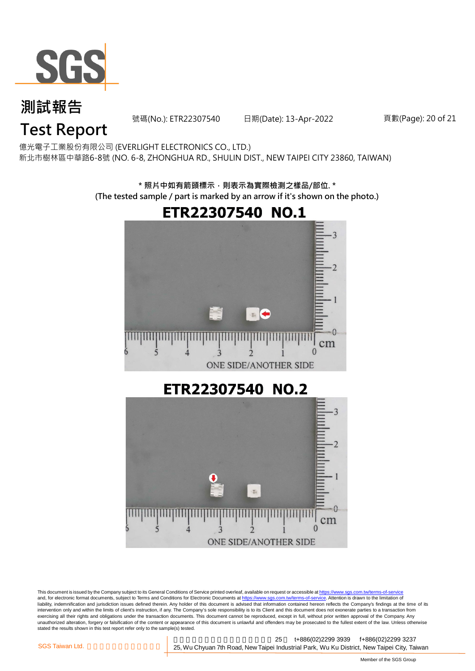

號碼(No.): ETR22307540 日期(Date): 13-Apr-2022

頁數(Page): 20 of 21

### **Test Report**

億光電子工業股份有限公司 (EVERLIGHT ELECTRONICS CO., LTD.) 新北市樹林區中華路6-8號 (NO. 6-8, ZHONGHUA RD., SHULIN DIST., NEW TAIPEI CITY 23860, TAIWAN)

> **\* 照片中如有箭頭標示,則表示為實際檢測之樣品/部位. \* (The tested sample / part is marked by an arrow if it's shown on the photo.)**

# ETR22307540 NO.1  $\overline{\mathbf{z}}$ cm  $\Omega$ ONE SIDE/ANOTHER SIDE ETR22307540 NO.2

 $\frac{1}{101}$ О cm  $\theta$ ONE SIDE/ANOTHER SIDE

This document is issued by the Company subject to its General Conditions of Service printed overleaf, available on request or accessible at <u>https://www.sgs.com.tw/terms-of-service</u><br>and, for electronic format documents, su liability, indemnification and jurisdiction issues defined therein. Any holder of this document is advised that information contained hereon reflects the Company's findings at the time of its intervention only and within the limits of client's instruction, if any. The Company's sole responsibility is to its Client and this document does not exonerate parties to a transaction from exercising all their rights and obligations under the transaction documents. This document cannot be reproduced, except in full, without prior written approval of the Company. Any<br>unauthorized alteration, forgery or falsif stated the results shown in this test report refer only to the sample(s) tested.